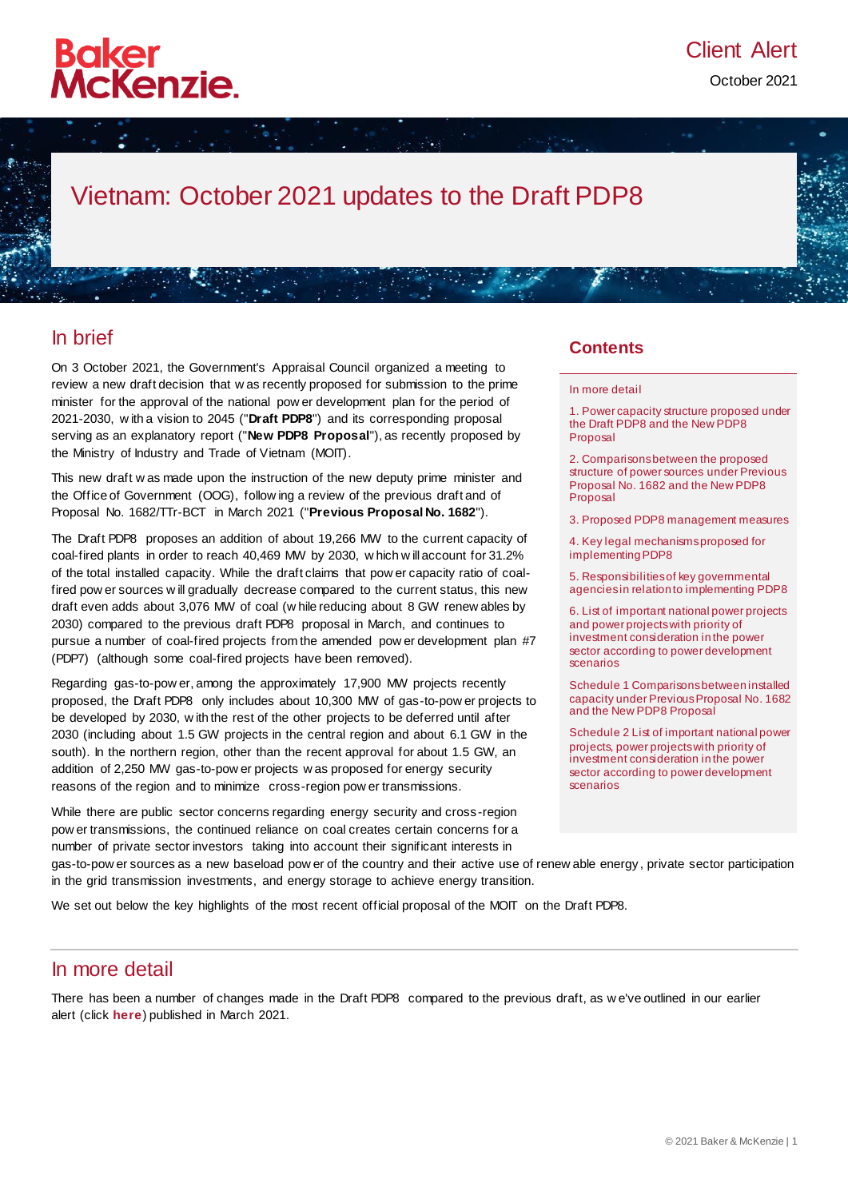

# Vietnam: October 2021 updates to the Draft PDP8

### In brief

On 3 October 2021, the Government's Appraisal Council organized a meeting to review a new draft decision that w as recently proposed for submission to the prime minister for the approval of the national pow er development plan for the period of 2021-2030, w ith a vision to 2045 ("**Draft PDP8**") and its corresponding proposal serving as an explanatory report ("**New PDP8 Proposal**"), as recently proposed by the Ministry of Industry and Trade of Vietnam (MOIT).

This new draft w as made upon the instruction of the new deputy prime minister and the Office of Government (OOG), follow ing a review of the previous draft and of Proposal No. 1682/TTr-BCT in March 2021 ("**Previous Proposal No. 1682**").

The Draft PDP8 proposes an addition of about 19,266 MW to the current capacity of coal-fired plants in order to reach 40,469 MW by 2030, w hich w ill account for 31.2% of the total installed capacity. While the draft claims that pow er capacity ratio of coalfired pow er sources w ill gradually decrease compared to the current status, this new draft even adds about 3,076 MW of coal (w hile reducing about 8 GW renew ables by 2030) compared to the previous draft PDP8 proposal in March, and continues to pursue a number of coal-fired projects from the amended pow er development plan #7 (PDP7) (although some coal-fired projects have been removed).

Regarding gas-to-pow er, among the approximately 17,900 MW projects recently proposed, the Draft PDP8 only includes about 10,300 MW of gas-to-pow er projects to be developed by 2030, w ith the rest of the other projects to be deferred until after 2030 (including about 1.5 GW projects in the central region and about 6.1 GW in the south). In the northern region, other than the recent approval for about 1.5 GW, an addition of 2,250 MW gas-to-pow er projects w as proposed for energy security reasons of the region and to minimize cross-region pow er transmissions.

While there are public sector concerns regarding energy security and cross -region pow er transmissions, the continued reliance on coal creates certain concerns for a number of private sector investors taking into account their significant interests in

#### **Contents**

#### [In more detail](#page-0-0)

[1. Power capacity structure proposed under](#page-1-0)  [the Draft PDP8 and the New PDP8](#page-1-0)  [Proposal](#page-1-0)

[2. Comparisons between the proposed](#page-2-0)  [structure of power sources under Previous](#page-2-0)  [Proposal No. 1682 and the New PDP8](#page-2-0)  [Proposal](#page-2-0)

[3. Proposed PDP8 management measures](#page-2-1)

[4. Key legal mechanisms proposed for](#page-3-0)  [implementing PDP8](#page-3-0)

[5. Responsibilities of key governmental](#page-4-0)  [agencies in relation to implementing PDP8](#page-4-0)

[6. List of important national power projects](#page-5-0)  [and power projects with priority of](#page-5-0)  [investment consideration in the power](#page-5-0)  [sector according to power development](#page-5-0)  [scenarios](#page-5-0)

[Schedule 1 Comparisons between installed](#page-5-1)  [capacity under Previous Proposal No. 1682](#page-5-1)  [and the New PDP8 Proposal](#page-5-1)

[Schedule 2 List of important national power](#page-7-0)  [projects, power projects with priority of](#page-7-0)  [investment consideration in the power](#page-7-0)  [sector according to power development](#page-7-0)  [scenarios](#page-7-0)

gas-to-pow er sources as a new baseload pow er of the country and their active use of renew able energy , private sector participation in the grid transmission investments, and energy storage to achieve energy transition.

<span id="page-0-0"></span>We set out below the key highlights of the most recent official proposal of the MOIT on the Draft PDP8.

### In more detail

There has been a number of changes made in the Draft PDP8 compared to the previous draft, as w e've outlined in our earlier alert (click **[here](https://insightplus.bakermckenzie.com/bm/energy-mining-infrastructure_1/vietnam-key-highlights-of-new-draft-of-national-power-development-plan-draft-pdp8)**) published in March 2021.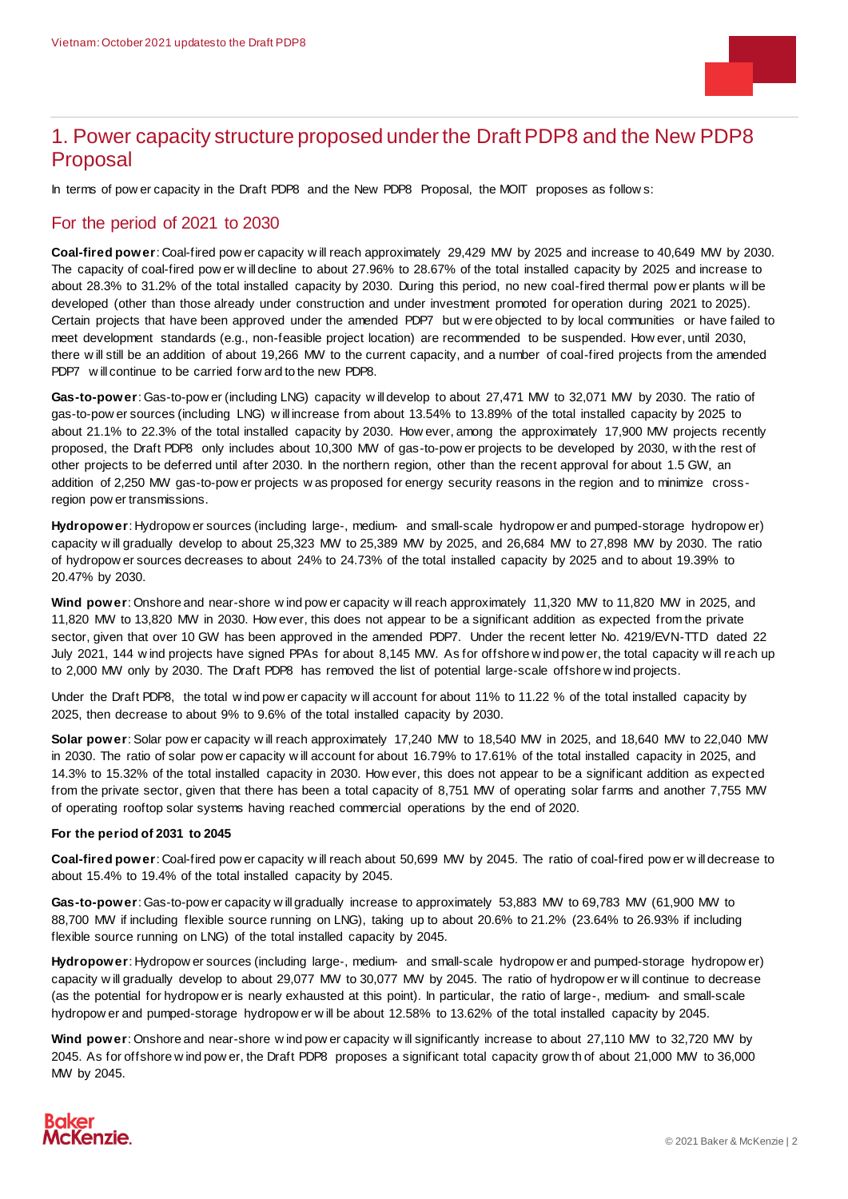

### <span id="page-1-0"></span>1. Power capacity structure proposed under the Draft PDP8 and the New PDP8 Proposal

In terms of pow er capacity in the Draft PDP8 and the New PDP8 Proposal, the MOIT proposes as follow s:

#### For the period of 2021 to 2030

**Coal-fired power**: Coal-fired pow er capacity w ill reach approximately 29,429 MW by 2025 and increase to 40,649 MW by 2030. The capacity of coal-fired pow er w ill decline to about 27.96% to 28.67% of the total installed capacity by 2025 and increase to about 28.3% to 31.2% of the total installed capacity by 2030. During this period, no new coal-fired thermal pow er plants w ill be developed (other than those already under construction and under investment promoted for operation during 2021 to 2025). Certain projects that have been approved under the amended PDP7 but w ere objected to by local communities or have failed to meet development standards (e.g., non-feasible project location) are recommended to be suspended. How ever, until 2030, there w ill still be an addition of about 19,266 MW to the current capacity, and a number of coal-fired projects from the amended PDP7 w ill continue to be carried forw ard to the new PDP8.

**Gas-to-power**: Gas-to-pow er (including LNG) capacity w ill develop to about 27,471 MW to 32,071 MW by 2030. The ratio of gas-to-pow er sources (including LNG) w ill increase from about 13.54% to 13.89% of the total installed capacity by 2025 to about 21.1% to 22.3% of the total installed capacity by 2030. How ever, among the approximately 17,900 MW projects recently proposed, the Draft PDP8 only includes about 10,300 MW of gas-to-pow er projects to be developed by 2030, w ith the rest of other projects to be deferred until after 2030. In the northern region, other than the recent approval for about 1.5 GW, an addition of 2,250 MW gas-to-pow er projects w as proposed for energy security reasons in the region and to minimize crossregion pow er transmissions.

**Hydropower**: Hydropow er sources (including large-, medium- and small-scale hydropow er and pumped-storage hydropow er) capacity w ill gradually develop to about 25,323 MW to 25,389 MW by 2025, and 26,684 MW to 27,898 MW by 2030. The ratio of hydropow er sources decreases to about 24% to 24.73% of the total installed capacity by 2025 and to about 19.39% to 20.47% by 2030.

**Wind power**: Onshore and near-shore w ind pow er capacity w ill reach approximately 11,320 MW to 11,820 MW in 2025, and 11,820 MW to 13,820 MW in 2030. How ever, this does not appear to be a significant addition as expected from the private sector, given that over 10 GW has been approved in the amended PDP7. Under the recent letter No. 4219/EVN-TTD dated 22 July 2021, 144 w ind projects have signed PPAs for about 8,145 MW. As for offshore w ind pow er, the total capacity w ill reach up to 2,000 MW only by 2030. The Draft PDP8 has removed the list of potential large-scale offshore w ind projects.

Under the Draft PDP8, the total w ind pow er capacity w ill account for about 11% to 11.22 % of the total installed capacity by 2025, then decrease to about 9% to 9.6% of the total installed capacity by 2030.

**Solar power**: Solar pow er capacity w ill reach approximately 17,240 MW to 18,540 MW in 2025, and 18,640 MW to 22,040 MW in 2030. The ratio of solar pow er capacity w ill account for about 16.79% to 17.61% of the total installed capacity in 2025, and 14.3% to 15.32% of the total installed capacity in 2030. How ever, this does not appear to be a significant addition as expected from the private sector, given that there has been a total capacity of 8,751 MW of operating solar farms and another 7,755 MW of operating rooftop solar systems having reached commercial operations by the end of 2020.

#### **For the period of 2031 to 2045**

**Coal-fired power**: Coal-fired pow er capacity w ill reach about 50,699 MW by 2045. The ratio of coal-fired pow er w ill decrease to about 15.4% to 19.4% of the total installed capacity by 2045.

**Gas-to-power**: Gas-to-pow er capacity w ill gradually increase to approximately 53,883 MW to 69,783 MW (61,900 MW to 88,700 MW if including flexible source running on LNG), taking up to about 20.6% to 21.2% (23.64% to 26.93% if including flexible source running on LNG) of the total installed capacity by 2045.

**Hydropower**: Hydropow er sources (including large-, medium- and small-scale hydropow er and pumped-storage hydropow er) capacity w ill gradually develop to about 29,077 MW to 30,077 MW by 2045. The ratio of hydropow er w ill continue to decrease (as the potential for hydropow er is nearly exhausted at this point). In particular, the ratio of large-, medium- and small-scale hydropow er and pumped-storage hydropow er w ill be about 12.58% to 13.62% of the total installed capacity by 2045.

Wind power: Onshore and near-shore w ind pow er capacity w ill significantly increase to about 27,110 MW to 32,720 MW by 2045. As for offshore w ind pow er, the Draft PDP8 proposes a significant total capacity grow th of about 21,000 MW to 36,000 MW by 2045.

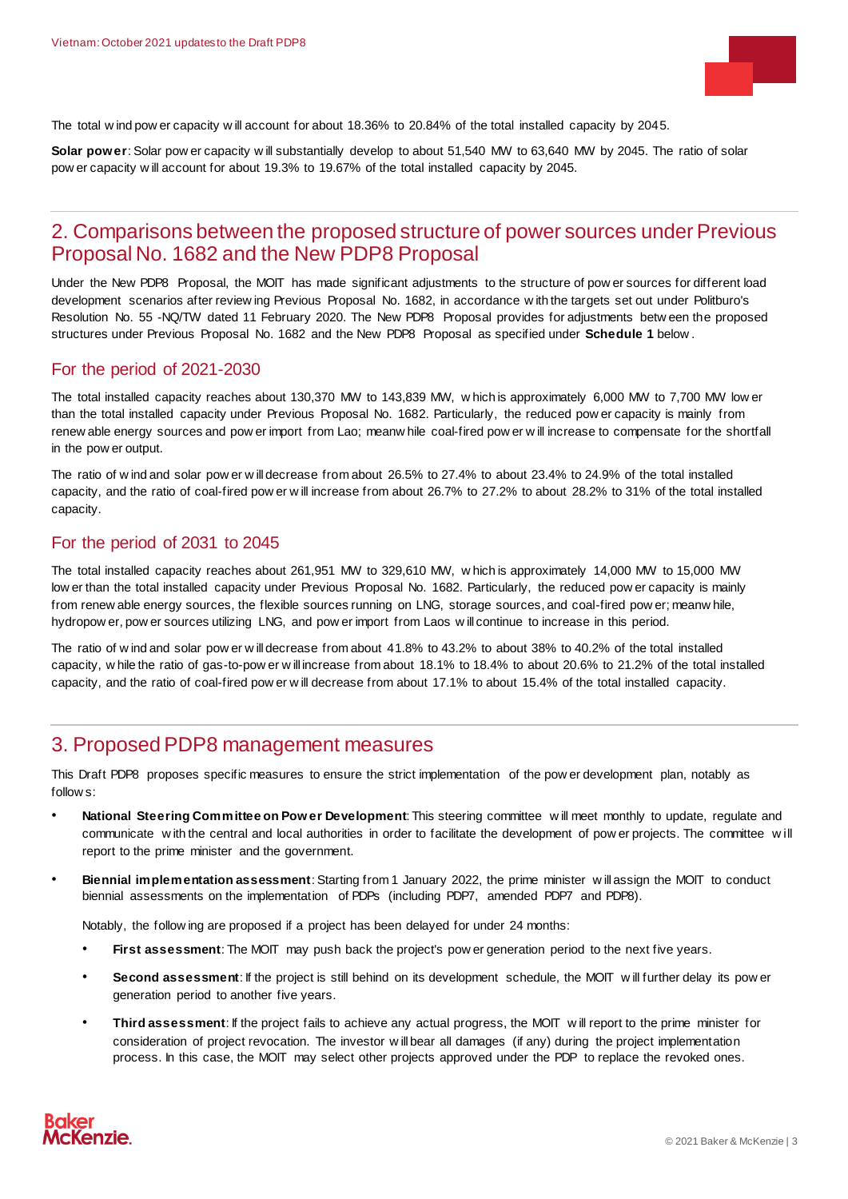

The total w ind pow er capacity w ill account for about 18.36% to 20.84% of the total installed capacity by 2045.

**Solar power**: Solar pow er capacity w ill substantially develop to about 51,540 MW to 63,640 MW by 2045. The ratio of solar pow er capacity w ill account for about 19.3% to 19.67% of the total installed capacity by 2045.

### <span id="page-2-0"></span>2. Comparisons between the proposed structure of power sources under Previous Proposal No. 1682 and the New PDP8 Proposal

Under the New PDP8 Proposal, the MOIT has made significant adjustments to the structure of pow er sources for different load development scenarios after review ing Previous Proposal No. 1682, in accordance w ith the targets set out under Politburo's Resolution No. 55 -NQ/TW dated 11 February 2020. The New PDP8 Proposal provides for adjustments betw een the proposed structures under Previous Proposal No. 1682 and the New PDP8 Proposal as specified under **Schedule 1** below .

#### For the period of 2021-2030

The total installed capacity reaches about 130,370 MW to 143,839 MW, w hich is approximately 6,000 MW to 7,700 MW low er than the total installed capacity under Previous Proposal No. 1682. Particularly, the reduced pow er capacity is mainly from renew able energy sources and pow er import from Lao; meanw hile coal-fired pow er w ill increase to compensate for the shortfall in the pow er output.

The ratio of w ind and solar pow er w ill decrease from about 26.5% to 27.4% to about 23.4% to 24.9% of the total installed capacity, and the ratio of coal-fired pow er w ill increase from about 26.7% to 27.2% to about 28.2% to 31% of the total installed capacity.

#### For the period of 2031 to 2045

The total installed capacity reaches about 261,951 MW to 329,610 MW, w hich is approximately 14,000 MW to 15,000 MW low er than the total installed capacity under Previous Proposal No. 1682. Particularly, the reduced pow er capacity is mainly from renew able energy sources, the flexible sources running on LNG, storage sources, and coal-fired pow er; meanw hile, hydropow er, pow er sources utilizing LNG, and pow er import from Laos w ill continue to increase in this period.

The ratio of w ind and solar pow er w ill decrease from about 41.8% to 43.2% to about 38% to 40.2% of the total installed capacity, w hile the ratio of gas-to-pow er w ill increase from about 18.1% to 18.4% to about 20.6% to 21.2% of the total installed capacity, and the ratio of coal-fired pow er w ill decrease from about 17.1% to about 15.4% of the total installed capacity.

### <span id="page-2-1"></span>3. Proposed PDP8 management measures

This Draft PDP8 proposes specific measures to ensure the strict implementation of the pow er development plan, notably as follow s:

- **National Steering Committee on Pow er Development**: This steering committee w ill meet monthly to update, regulate and communicate w ith the central and local authorities in order to facilitate the development of pow er projects. The committee w ill report to the prime minister and the government.
- **Biennial implementation assessment**: Starting from 1 January 2022, the prime minister w ill assign the MOIT to conduct biennial assessments on the implementation of PDPs (including PDP7, amended PDP7 and PDP8).

Notably, the follow ing are proposed if a project has been delayed for under 24 months:

- First assessment: The MOIT may push back the project's pow er generation period to the next five years.
- **Second assessment**: If the project is still behind on its development schedule, the MOIT w ill further delay its pow er generation period to another five years.
- **Third assessment**: If the project fails to achieve any actual progress, the MOIT w ill report to the prime minister for consideration of project revocation. The investor w ill bear all damages (if any) during the project implementation process. In this case, the MOIT may select other projects approved under the PDP to replace the revoked ones.

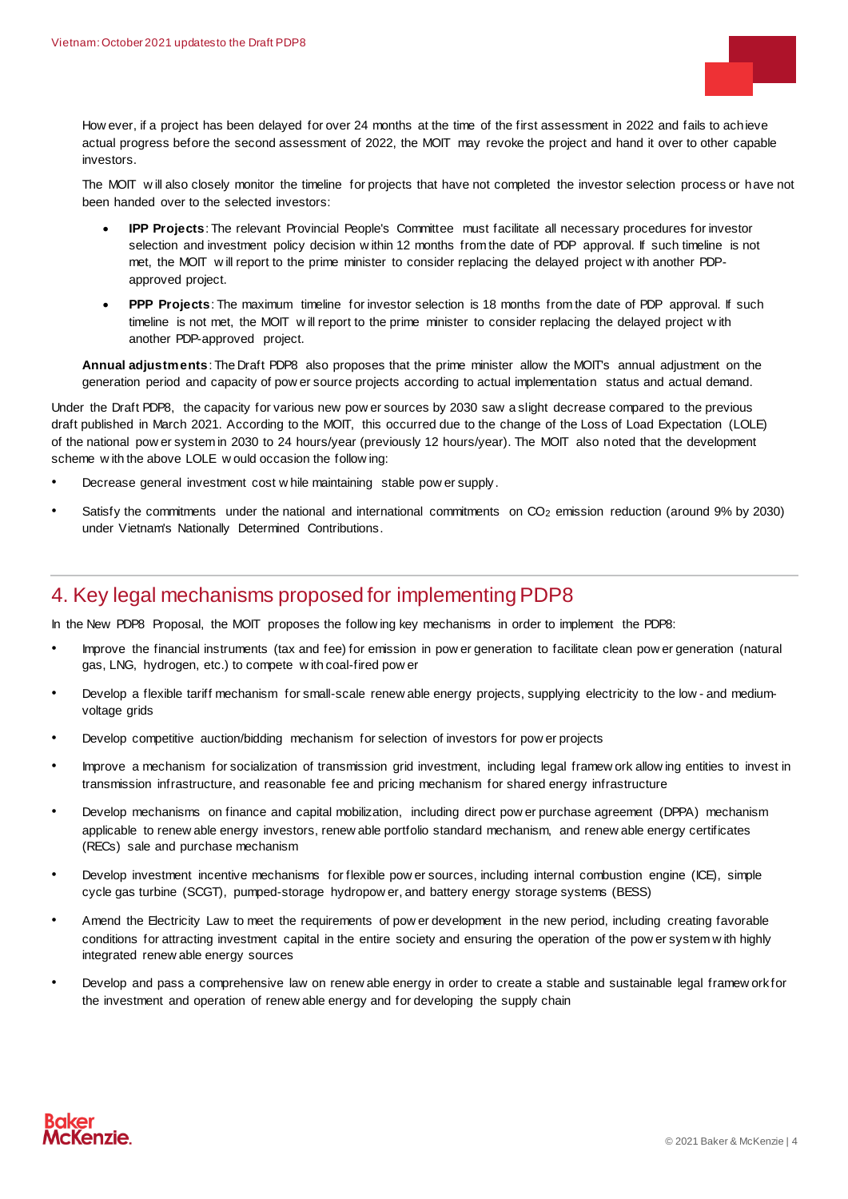

How ever, if a project has been delayed for over 24 months at the time of the first assessment in 2022 and fails to achieve actual progress before the second assessment of 2022, the MOIT may revoke the project and hand it over to other capable investors.

The MOIT w ill also closely monitor the timeline for projects that have not completed the investor selection process or have not been handed over to the selected investors:

- **IPP Projects**: The relevant Provincial People's Committee must facilitate all necessary procedures for investor selection and investment policy decision w ithin 12 months from the date of PDP approval. If such timeline is not met, the MOIT w ill report to the prime minister to consider replacing the delayed project w ith another PDPapproved project.
- **PPP Projects**: The maximum timeline for investor selection is 18 months from the date of PDP approval. If such timeline is not met, the MOIT will report to the prime minister to consider replacing the delayed project with another PDP-approved project.

**Annual adjustments**: The Draft PDP8 also proposes that the prime minister allow the MOIT's annual adjustment on the generation period and capacity of pow er source projects according to actual implementation status and actual demand.

Under the Draft PDP8, the capacity for various new pow er sources by 2030 saw a slight decrease compared to the previous draft published in March 2021. According to the MOIT, this occurred due to the change of the Loss of Load Expectation (LOLE) of the national pow er system in 2030 to 24 hours/year (previously 12 hours/year). The MOIT also noted that the development scheme w ith the above LOLE w ould occasion the follow ing:

- Decrease general investment cost w hile maintaining stable pow er supply.
- Satisfy the commitments under the national and international commitments on  $CO<sub>2</sub>$  emission reduction (around 9% by 2030) under Vietnam's Nationally Determined Contributions.

### <span id="page-3-0"></span>4. Key legal mechanisms proposed for implementing PDP8

In the New PDP8 Proposal, the MOIT proposes the follow ing key mechanisms in order to implement the PDP8:

- Improve the financial instruments (tax and fee) for emission in pow er generation to facilitate clean pow er generation (natural gas, LNG, hydrogen, etc.) to compete w ith coal-fired pow er
- Develop a flexible tariff mechanism for small-scale renew able energy projects, supplying electricity to the low and mediumvoltage grids
- Develop competitive auction/bidding mechanism for selection of investors for pow er projects
- Improve a mechanism for socialization of transmission grid investment, including legal framew ork allow ing entities to invest in transmission infrastructure, and reasonable fee and pricing mechanism for shared energy infrastructure
- Develop mechanisms on finance and capital mobilization, including direct pow er purchase agreement (DPPA) mechanism applicable to renew able energy investors, renew able portfolio standard mechanism, and renew able energy certificates (RECs) sale and purchase mechanism
- Develop investment incentive mechanisms for flexible pow er sources, including internal combustion engine (ICE), simple cycle gas turbine (SCGT), pumped-storage hydropow er, and battery energy storage systems (BESS)
- Amend the Electricity Law to meet the requirements of pow er development in the new period, including creating favorable conditions for attracting investment capital in the entire society and ensuring the operation of the pow er system w ith highly integrated renew able energy sources
- Develop and pass a comprehensive law on renew able energy in order to create a stable and sustainable legal framew ork for the investment and operation of renew able energy and for developing the supply chain

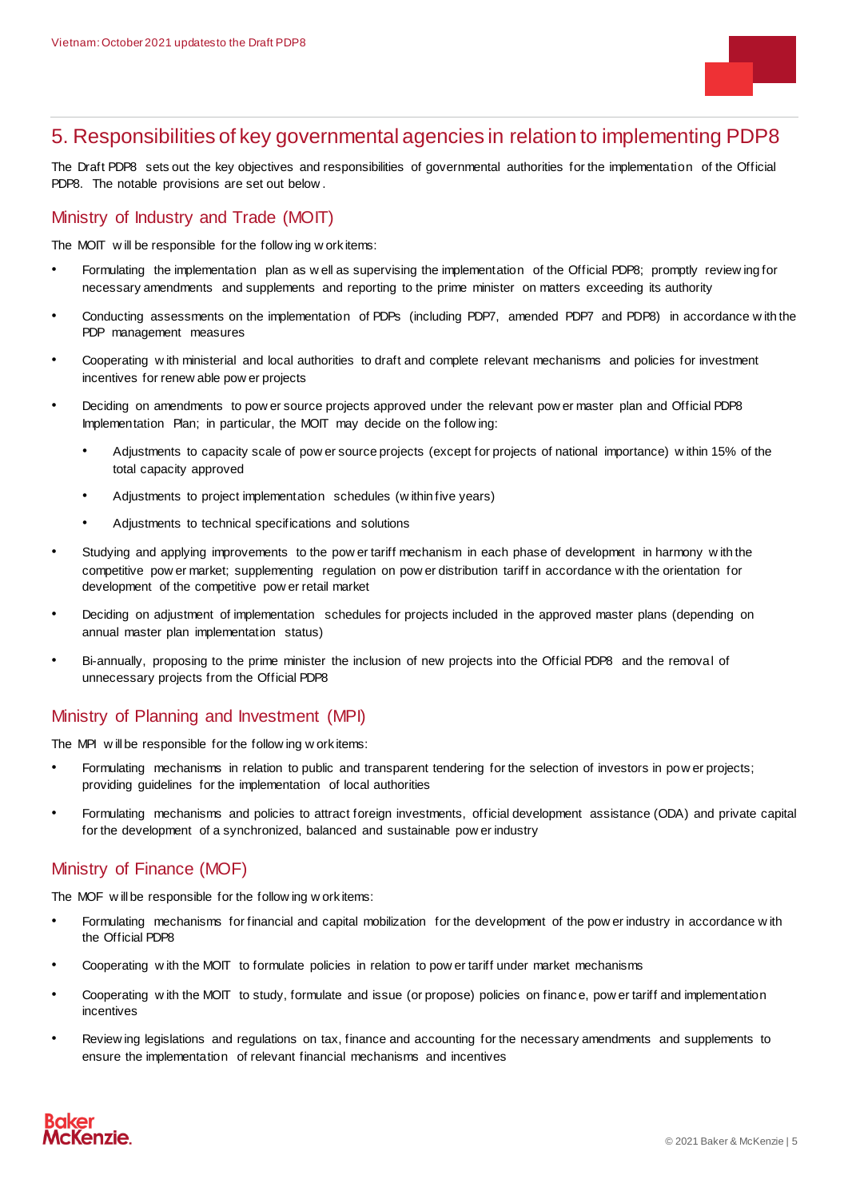

### <span id="page-4-0"></span>5. Responsibilities of key governmental agencies in relation to implementing PDP8

The Draft PDP8 sets out the key objectives and responsibilities of governmental authorities for the implementation of the Official PDP8. The notable provisions are set out below .

#### Ministry of Industry and Trade (MOIT)

The MOIT will be responsible for the follow ing w ork items:

- Formulating the implementation plan as w ell as supervising the implementation of the Official PDP8; promptly review ing for necessary amendments and supplements and reporting to the prime minister on matters exceeding its authority
- Conducting assessments on the implementation of PDPs (including PDP7, amended PDP7 and PDP8) in accordance w ith the PDP management measures
- Cooperating w ith ministerial and local authorities to draft and complete relevant mechanisms and policies for investment incentives for renew able pow er projects
- Deciding on amendments to pow er source projects approved under the relevant pow er master plan and Official PDP8 Implementation Plan; in particular, the MOIT may decide on the follow ing:
	- Adjustments to capacity scale of pow er source projects (except for projects of national importance) w ithin 15% of the total capacity approved
	- Adjustments to project implementation schedules (w ithin five years)
	- Adjustments to technical specifications and solutions
- Studying and applying improvements to the pow er tariff mechanism in each phase of development in harmony w ith the competitive pow er market; supplementing regulation on pow er distribution tariff in accordance w ith the orientation for development of the competitive pow er retail market
- Deciding on adjustment of implementation schedules for projects included in the approved master plans (depending on annual master plan implementation status)
- Bi-annually, proposing to the prime minister the inclusion of new projects into the Official PDP8 and the removal of unnecessary projects from the Official PDP8

#### Ministry of Planning and Investment (MPI)

The MPI w ill be responsible for the follow ing w ork items:

- Formulating mechanisms in relation to public and transparent tendering for the selection of investors in pow er projects; providing guidelines for the implementation of local authorities
- Formulating mechanisms and policies to attract foreign investments, official development assistance (ODA) and private capital for the development of a synchronized, balanced and sustainable pow er industry

#### Ministry of Finance (MOF)

The MOF w ill be responsible for the follow ing w ork items:

- Formulating mechanisms for financial and capital mobilization for the development of the pow er industry in accordance w ith the Official PDP8
- Cooperating w ith the MOIT to formulate policies in relation to pow er tariff under market mechanisms
- Cooperating w ith the MOIT to study, formulate and issue (or propose) policies on finance, pow er tariff and implementation incentives
- Review ing legislations and regulations on tax, finance and accounting for the necessary amendments and supplements to ensure the implementation of relevant financial mechanisms and incentives

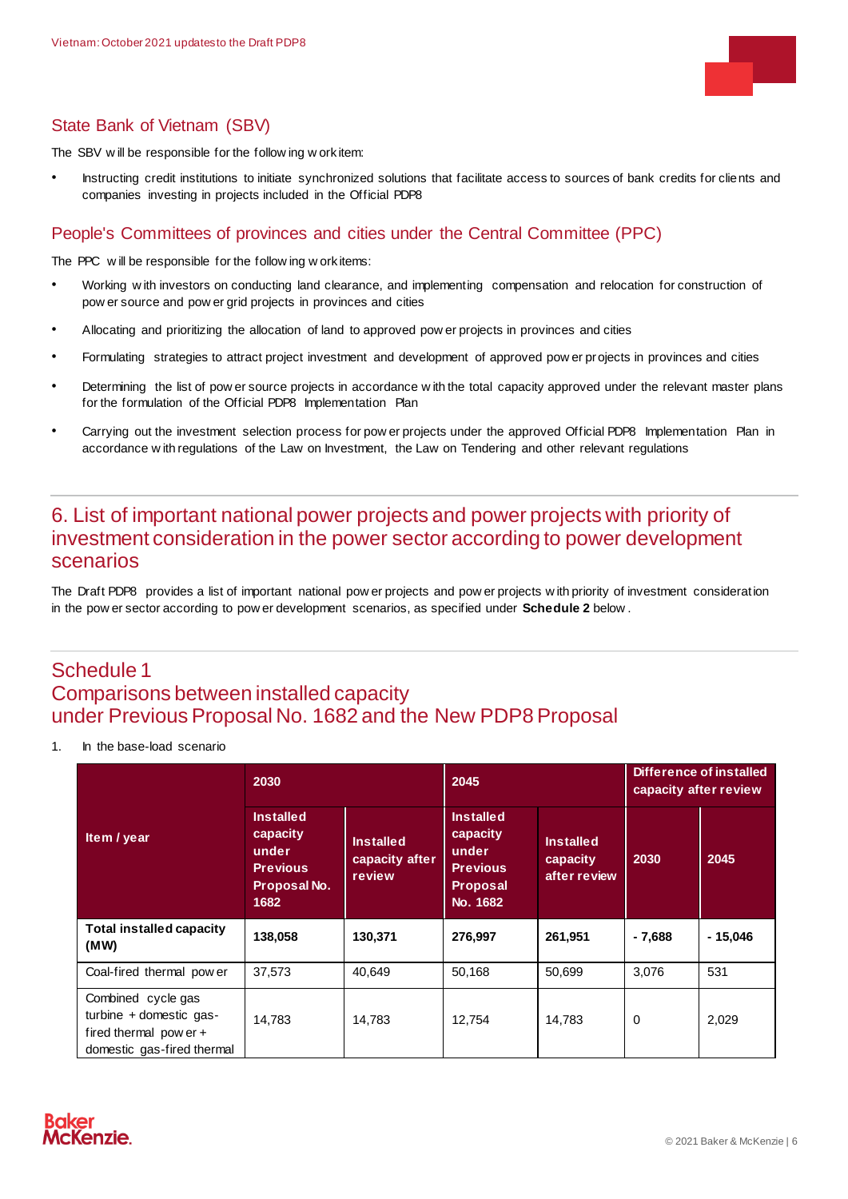

### State Bank of Vietnam (SBV)

The SBV w ill be responsible for the follow ing w ork item:

• Instructing credit institutions to initiate synchronized solutions that facilitate access to sources of bank credits for clients and companies investing in projects included in the Official PDP8

#### People's Committees of provinces and cities under the Central Committee (PPC)

The PPC w ill be responsible for the follow ing w ork items:

- Working w ith investors on conducting land clearance, and implementing compensation and relocation for construction of pow er source and pow er grid projects in provinces and cities
- Allocating and prioritizing the allocation of land to approved pow er projects in provinces and cities
- Formulating strategies to attract project investment and development of approved pow er projects in provinces and cities
- Determining the list of pow er source projects in accordance w ith the total capacity approved under the relevant master plans for the formulation of the Official PDP8 Implementation Plan
- Carrying out the investment selection process for pow er projects under the approved Official PDP8 Implementation Plan in accordance w ith regulations of the Law on Investment, the Law on Tendering and other relevant regulations

### <span id="page-5-0"></span>6. List of important national power projects and power projects with priority of investment consideration in the power sector according to power development scenarios

<span id="page-5-1"></span>The Draft PDP8 provides a list of important national pow er projects and pow er projects w ith priority of investment consideration in the pow er sector according to pow er development scenarios, as specified under **Schedule 2** below .

### Schedule 1 Comparisons between installed capacity under Previous Proposal No. 1682 and the New PDP8 Proposal

1. In the base-load scenario

|                                                                                                         | 2030                                                                             |                                              | 2045                                                                                    |                                              | Difference of installed<br>capacity after review |           |
|---------------------------------------------------------------------------------------------------------|----------------------------------------------------------------------------------|----------------------------------------------|-----------------------------------------------------------------------------------------|----------------------------------------------|--------------------------------------------------|-----------|
| Item / year                                                                                             | <b>Installed</b><br>capacity<br>under<br><b>Previous</b><br>Proposal No.<br>1682 | <b>Installed</b><br>capacity after<br>review | <b>Installed</b><br>capacity<br>under<br><b>Previous</b><br><b>Proposal</b><br>No. 1682 | <b>Installed</b><br>capacity<br>after review | 2030                                             | 2045      |
| <b>Total installed capacity</b><br>(MW)                                                                 | 138,058                                                                          | 130,371                                      | 276,997                                                                                 | 261,951                                      | $-7,688$                                         | $-15,046$ |
| Coal-fired thermal power                                                                                | 37,573                                                                           | 40.649                                       | 50,168                                                                                  | 50.699                                       | 3,076                                            | 531       |
| Combined cycle gas<br>turbine $+$ domestic gas-<br>fired thermal pow er +<br>domestic gas-fired thermal | 14,783                                                                           | 14,783                                       | 12,754                                                                                  | 14,783                                       | $\mathbf 0$                                      | 2,029     |

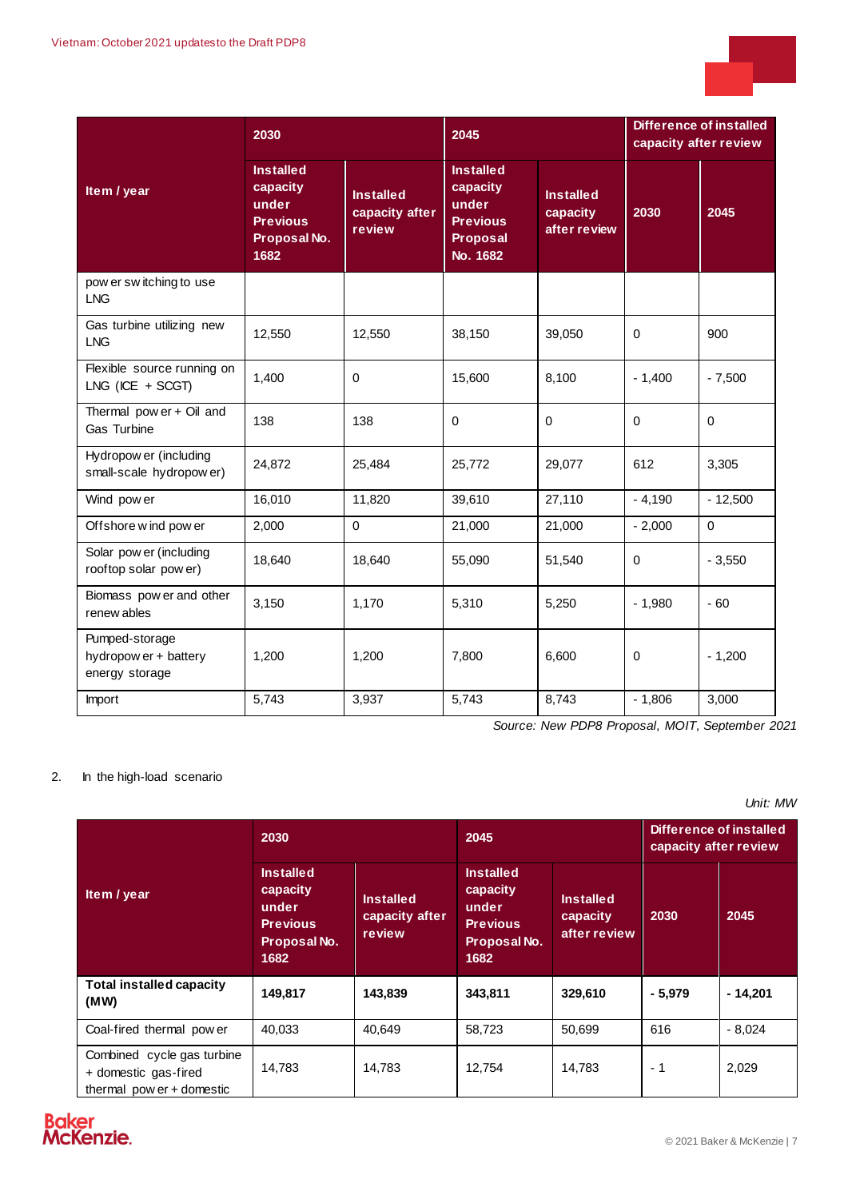

|                                                           | 2030                                                                             |                                              | 2045                                                                             |                                              | <b>Difference of installed</b><br>capacity after review |             |
|-----------------------------------------------------------|----------------------------------------------------------------------------------|----------------------------------------------|----------------------------------------------------------------------------------|----------------------------------------------|---------------------------------------------------------|-------------|
| Item / year                                               | <b>Installed</b><br>capacity<br>under<br><b>Previous</b><br>Proposal No.<br>1682 | <b>Installed</b><br>capacity after<br>review | <b>Installed</b><br>capacity<br>under<br><b>Previous</b><br>Proposal<br>No. 1682 | <b>Installed</b><br>capacity<br>after review | 2030                                                    | 2045        |
| pow er sw itching to use<br><b>LNG</b>                    |                                                                                  |                                              |                                                                                  |                                              |                                                         |             |
| Gas turbine utilizing new<br><b>LNG</b>                   | 12,550                                                                           | 12,550                                       | 38,150                                                                           | 39,050                                       | $\Omega$                                                | 900         |
| Flexible source running on<br>$LNG$ (ICE + SCGT)          | 1,400                                                                            | $\mathbf 0$                                  | 15,600                                                                           | 8,100                                        | $-1,400$                                                | $-7,500$    |
| Thermal pow er + Oil and<br>Gas Turbine                   | 138                                                                              | 138                                          | $\mathbf 0$                                                                      | $\mathbf 0$                                  | $\Omega$                                                | $\mathbf 0$ |
| Hydropow er (including<br>small-scale hydropower)         | 24,872                                                                           | 25,484                                       | 25,772                                                                           | 29,077                                       | 612                                                     | 3,305       |
| Wind pow er                                               | 16,010                                                                           | 11,820                                       | 39,610                                                                           | 27,110                                       | $-4,190$                                                | $-12,500$   |
| Offshore wind pow er                                      | 2,000                                                                            | $\Omega$                                     | 21,000                                                                           | 21,000                                       | $-2,000$                                                | $\mathbf 0$ |
| Solar pow er (including<br>rooftop solar pow er)          | 18,640                                                                           | 18,640                                       | 55,090                                                                           | 51,540                                       | $\Omega$                                                | $-3,550$    |
| Biomass pow er and other<br>renew ables                   | 3,150                                                                            | 1.170                                        | 5,310                                                                            | 5,250                                        | $-1,980$                                                | $-60$       |
| Pumped-storage<br>hydropow er + battery<br>energy storage | 1,200                                                                            | 1,200                                        | 7,800                                                                            | 6,600                                        | $\mathbf 0$                                             | $-1,200$    |
| Import                                                    | 5,743                                                                            | 3,937                                        | 5,743                                                                            | 8,743                                        | $-1,806$                                                | 3,000       |

*Source: New PDP8 Proposal, MOIT, September 2021*

#### 2. In the high-load scenario

*Unit: MW*

|                                                                                   | 2030                                                                             |                                              | 2045                                                                             |                                              | Difference of installed<br>capacity after review |           |
|-----------------------------------------------------------------------------------|----------------------------------------------------------------------------------|----------------------------------------------|----------------------------------------------------------------------------------|----------------------------------------------|--------------------------------------------------|-----------|
| Item / year                                                                       | <b>Installed</b><br>capacity<br>under<br><b>Previous</b><br>Proposal No.<br>1682 | <b>Installed</b><br>capacity after<br>review | <b>Installed</b><br>capacity<br>under<br><b>Previous</b><br>Proposal No.<br>1682 | <b>Installed</b><br>capacity<br>after review | 2030                                             | 2045      |
| <b>Total installed capacity</b><br>(MW)                                           | 149,817                                                                          | 143,839                                      | 343,811                                                                          | 329,610                                      | $-5,979$                                         | $-14,201$ |
| Coal-fired thermal power                                                          | 40.033                                                                           | 40.649                                       | 58,723                                                                           | 50,699                                       | 616                                              | $-8,024$  |
| Combined cycle gas turbine<br>+ domestic gas-fired<br>thermal pow $er +$ domestic | 14,783                                                                           | 14,783                                       | 12,754                                                                           | 14,783                                       | - 1                                              | 2,029     |

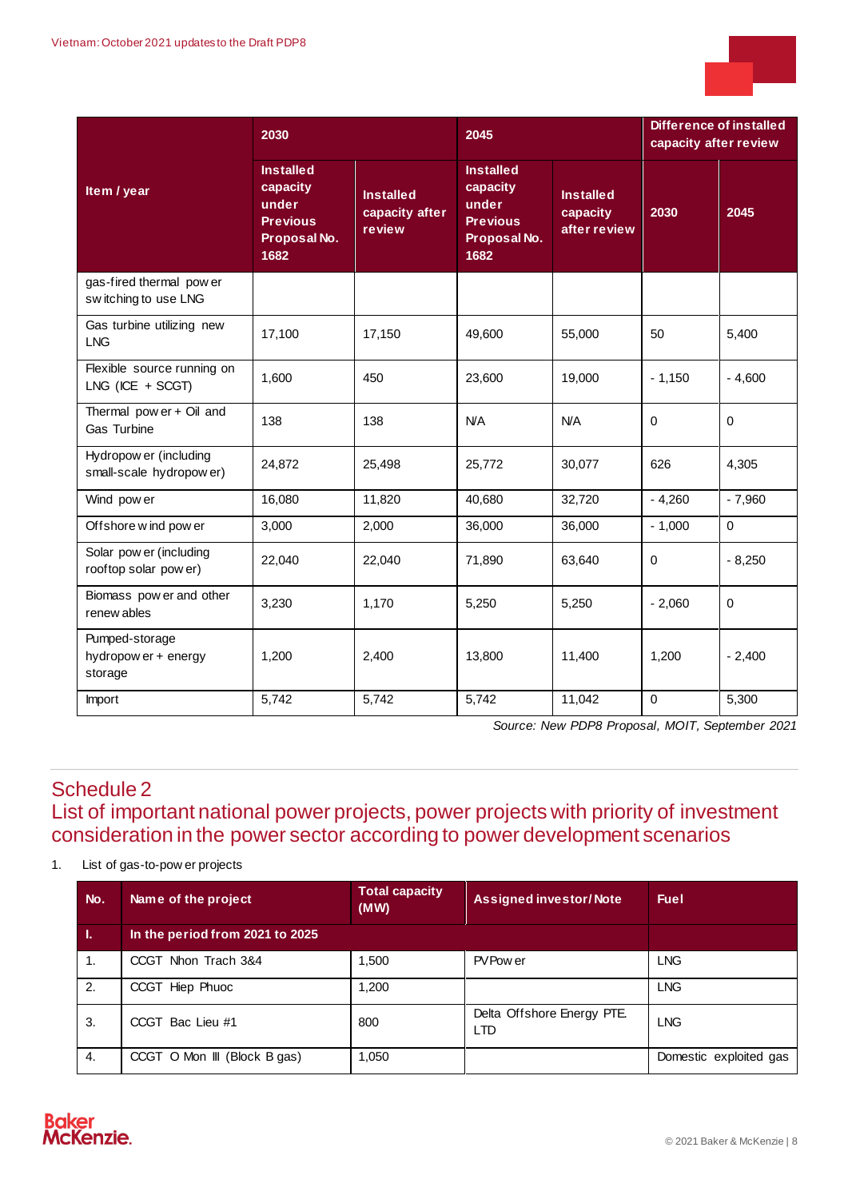

|                                                   | 2030                                                                             |                                              | 2045                                                                             |                                              | Difference of installed<br>capacity after review |             |
|---------------------------------------------------|----------------------------------------------------------------------------------|----------------------------------------------|----------------------------------------------------------------------------------|----------------------------------------------|--------------------------------------------------|-------------|
| Item / year                                       | <b>Installed</b><br>capacity<br>under<br><b>Previous</b><br>Proposal No.<br>1682 | <b>Installed</b><br>capacity after<br>review | <b>Installed</b><br>capacity<br>under<br><b>Previous</b><br>Proposal No.<br>1682 | <b>Installed</b><br>capacity<br>after review | 2030                                             | 2045        |
| gas-fired thermal pow er<br>switching to use LNG  |                                                                                  |                                              |                                                                                  |                                              |                                                  |             |
| Gas turbine utilizing new<br><b>LNG</b>           | 17,100                                                                           | 17,150                                       | 49,600                                                                           | 55,000                                       | 50                                               | 5,400       |
| Flexible source running on<br>$LNG$ (ICE + SCGT)  | 1,600                                                                            | 450                                          | 23,600                                                                           | 19,000                                       | $-1,150$                                         | $-4,600$    |
| Thermal pow er + Oil and<br>Gas Turbine           | 138                                                                              | 138                                          | <b>N/A</b>                                                                       | N/A                                          | $\mathbf 0$                                      | $\mathbf 0$ |
| Hydropow er (including<br>small-scale hydropower) | 24,872                                                                           | 25,498                                       | 25,772                                                                           | 30,077                                       | 626                                              | 4,305       |
| Wind pow er                                       | 16,080                                                                           | 11,820                                       | 40,680                                                                           | 32,720                                       | $-4,260$                                         | $-7,960$    |
| Offshore w ind pow er                             | 3,000                                                                            | 2,000                                        | 36,000                                                                           | 36,000                                       | $-1,000$                                         | $\mathbf 0$ |
| Solar pow er (including<br>rooftop solar pow er)  | 22,040                                                                           | 22,040                                       | 71,890                                                                           | 63,640                                       | $\Omega$                                         | $-8,250$    |
| Biomass pow er and other<br>renew ables           | 3,230                                                                            | 1,170                                        | 5,250                                                                            | 5,250                                        | $-2,060$                                         | $\mathbf 0$ |
| Pumped-storage<br>hydropow er + energy<br>storage | 1,200                                                                            | 2,400                                        | 13,800                                                                           | 11,400                                       | 1,200                                            | $-2,400$    |
| Import                                            | 5,742                                                                            | 5,742                                        | 5,742                                                                            | 11,042                                       | $\mathbf 0$                                      | 5,300       |

*Source: New PDP8 Proposal, MOIT, September 2021*

## <span id="page-7-0"></span>Schedule 2 List of important national power projects, power projects with priority of investment consideration in the power sector according to power development scenarios

1. List of gas-to-pow er projects

| No. | Name of the project             | <b>Total capacity</b><br>(WW) | <b>Assigned investor/Note</b>            | <b>Fuel</b>            |
|-----|---------------------------------|-------------------------------|------------------------------------------|------------------------|
| 4.7 | In the period from 2021 to 2025 |                               |                                          |                        |
| 1.  | CCGT Nhon Trach 3&4             | 1,500                         | PV Pow er                                | <b>LNG</b>             |
| 2.  | CCGT Hiep Phuoc                 | 1,200                         |                                          | <b>LNG</b>             |
| 3.  | CCGT Bac Lieu #1                | 800                           | Delta Offshore Energy PTE.<br><b>LTD</b> | <b>LNG</b>             |
| 4.  | CCGT O Mon III (Block B gas)    | 1,050                         |                                          | Domestic exploited gas |

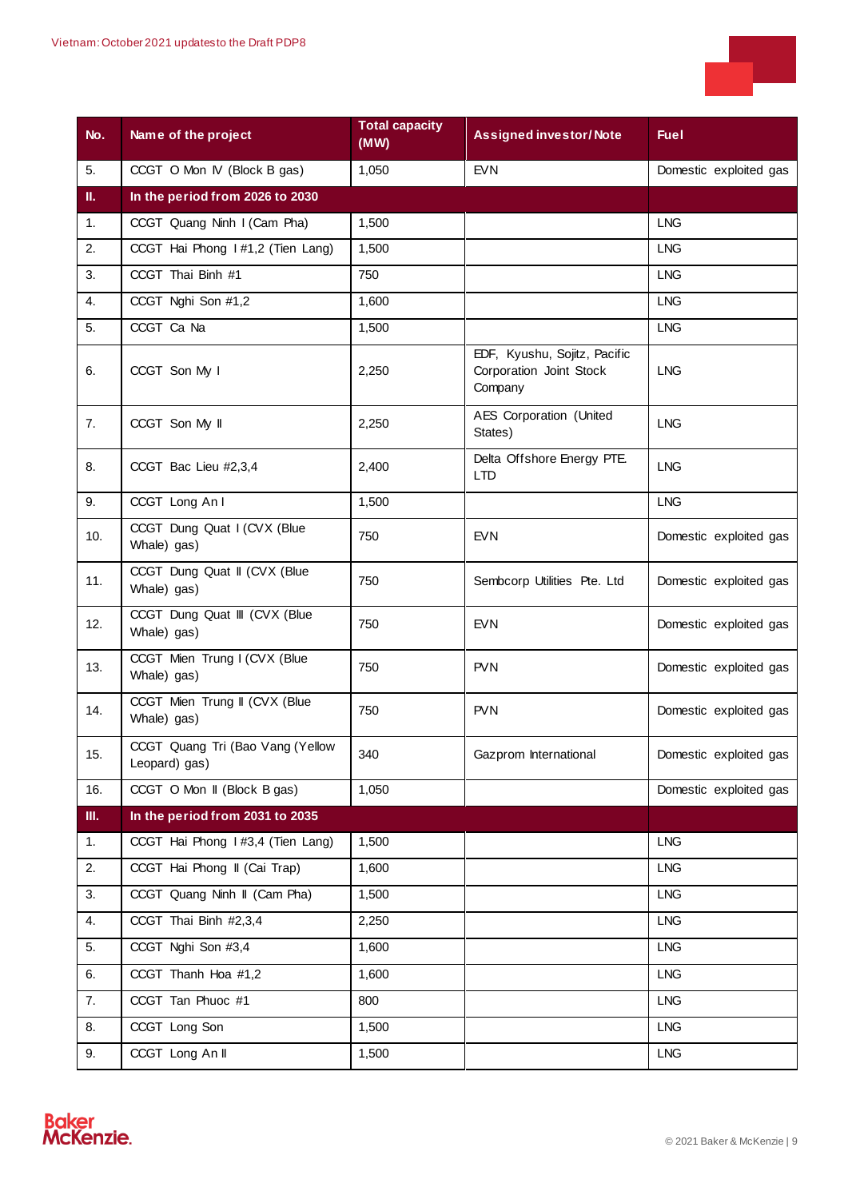

| No.              | Name of the project                               | <b>Total capacity</b><br>(MW) | <b>Assigned investor/Note</b>                                      | <b>Fuel</b>            |
|------------------|---------------------------------------------------|-------------------------------|--------------------------------------------------------------------|------------------------|
| 5.               | CCGT O Mon IV (Block B gas)                       | 1,050                         | <b>EVN</b>                                                         | Domestic exploited gas |
| П.               | In the period from 2026 to 2030                   |                               |                                                                    |                        |
| 1.               | CCGT Quang Ninh I (Cam Pha)                       | 1,500                         |                                                                    | <b>LNG</b>             |
| 2.               | CCGT Hai Phong 1#1,2 (Tien Lang)                  | 1,500                         |                                                                    | <b>LNG</b>             |
| 3.               | CCGT Thai Binh #1                                 | 750                           |                                                                    | <b>LNG</b>             |
| $\overline{4}$ . | CCGT Nghi Son #1,2                                | 1,600                         |                                                                    | <b>LNG</b>             |
| 5.               | CCGT Ca Na                                        | 1,500                         |                                                                    | <b>LNG</b>             |
| 6.               | CCGT Son My I                                     | 2,250                         | EDF, Kyushu, Sojitz, Pacific<br>Corporation Joint Stock<br>Company | <b>LNG</b>             |
| 7.               | CCGT Son My II                                    | 2,250                         | <b>AES Corporation (United</b><br>States)                          | <b>LNG</b>             |
| 8.               | CCGT Bac Lieu #2,3,4                              | 2,400                         | Delta Offshore Energy PTE.<br><b>LTD</b>                           | <b>LNG</b>             |
| 9.               | CCGT Long An I                                    | 1,500                         |                                                                    | <b>LNG</b>             |
| 10.              | CCGT Dung Quat I (CVX (Blue<br>Whale) gas)        | 750                           | <b>EVN</b>                                                         | Domestic exploited gas |
| 11.              | CCGT Dung Quat II (CVX (Blue<br>Whale) gas)       | 750                           | Sembcorp Utilities Pte. Ltd                                        | Domestic exploited gas |
| 12.              | CCGT Dung Quat III (CVX (Blue<br>Whale) gas)      | 750                           | <b>EVN</b>                                                         | Domestic exploited gas |
| 13.              | CCGT Mien Trung I (CVX (Blue<br>Whale) gas)       | 750                           | <b>PVN</b>                                                         | Domestic exploited gas |
| 14.              | CCGT Mien Trung II (CVX (Blue<br>Whale) gas)      | 750                           | <b>PVN</b>                                                         | Domestic exploited gas |
| 15.              | CCGT Quang Tri (Bao Vang (Yellow<br>Leopard) gas) | 340                           | Gazprom International                                              | Domestic exploited gas |
| 16.              | CCGT O Mon II (Block B gas)                       | 1,050                         |                                                                    | Domestic exploited gas |
| III.             | In the period from 2031 to 2035                   |                               |                                                                    |                        |
| 1.               | CCGT Hai Phong I #3,4 (Tien Lang)                 | 1,500                         |                                                                    | <b>LNG</b>             |
| 2.               | CCGT Hai Phong II (Cai Trap)                      | 1,600                         |                                                                    | <b>LNG</b>             |
| 3.               | CCGT Quang Ninh II (Cam Pha)                      | 1,500                         |                                                                    | <b>LNG</b>             |
| 4.               | CCGT Thai Binh #2,3,4                             | 2,250                         |                                                                    | <b>LNG</b>             |
| 5.               | CCGT Nghi Son #3,4                                | 1,600                         |                                                                    | <b>LNG</b>             |
| 6.               | CCGT Thanh Hoa #1,2                               | 1,600                         |                                                                    | <b>LNG</b>             |
| 7.               | CCGT Tan Phuoc #1                                 | 800                           |                                                                    | <b>LNG</b>             |
| 8.               | CCGT Long Son                                     | 1,500                         |                                                                    | <b>LNG</b>             |
| 9.               | CCGT Long An II                                   | 1,500                         |                                                                    | <b>LNG</b>             |

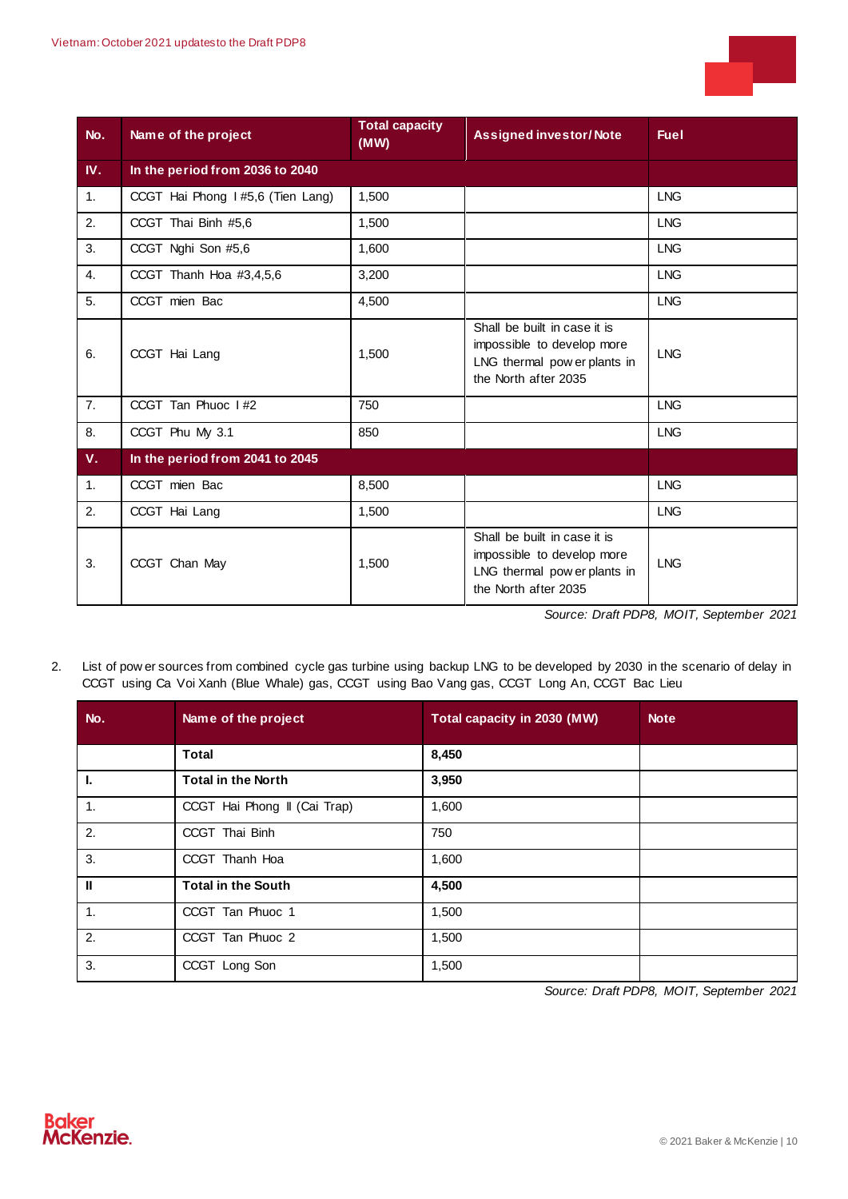

| No.            | Name of the project              | <b>Total capacity</b><br>(MW) | <b>Assigned investor/Note</b>                                                                                      | <b>Fuel</b> |
|----------------|----------------------------------|-------------------------------|--------------------------------------------------------------------------------------------------------------------|-------------|
| IV.            | In the period from 2036 to 2040  |                               |                                                                                                                    |             |
| 1.             | CCGT Hai Phong 1#5,6 (Tien Lang) | 1,500                         |                                                                                                                    | <b>LNG</b>  |
| 2.             | CCGT Thai Binh #5,6              | 1,500                         |                                                                                                                    | <b>LNG</b>  |
| 3.             | CCGT Nghi Son #5,6               | 1,600                         |                                                                                                                    | <b>LNG</b>  |
| $\mathbf{4}$ . | CCGT Thanh Hoa #3,4,5,6          | 3,200                         |                                                                                                                    | <b>LNG</b>  |
| 5.             | CCGT mien Bac                    | 4,500                         |                                                                                                                    | <b>LNG</b>  |
| 6.             | CCGT Hai Lang                    | 1,500                         | Shall be built in case it is<br>impossible to develop more<br>LNG thermal pow er plants in<br>the North after 2035 | <b>LNG</b>  |
| 7.             | CCGT Tan Phuoc I #2              | 750                           |                                                                                                                    | <b>LNG</b>  |
| 8.             | CCGT Phu My 3.1                  | 850                           |                                                                                                                    | <b>LNG</b>  |
| V.             | In the period from 2041 to 2045  |                               |                                                                                                                    |             |
| 1.             | CCGT mien Bac                    | 8,500                         |                                                                                                                    | <b>LNG</b>  |
| 2.             | CCGT Hai Lang                    | 1,500                         |                                                                                                                    | <b>LNG</b>  |
| 3.             | CCGT Chan May                    | 1,500                         | Shall be built in case it is<br>impossible to develop more<br>LNG thermal pow er plants in<br>the North after 2035 | <b>LNG</b>  |

*Source: Draft PDP8, MOIT, September 2021*

2. List of pow er sources from combined cycle gas turbine using backup LNG to be developed by 2030 in the scenario of delay in CCGT using Ca Voi Xanh (Blue Whale) gas, CCGT using Bao Vang gas, CCGT Long An, CCGT Bac Lieu

| No.           | Name of the project          | Total capacity in 2030 (MW) | <b>Note</b> |
|---------------|------------------------------|-----------------------------|-------------|
|               | <b>Total</b>                 | 8,450                       |             |
| Ι.            | <b>Total in the North</b>    | 3,950                       |             |
| 1.            | CCGT Hai Phong II (Cai Trap) | 1,600                       |             |
| 2.            | CCGT Thai Binh               | 750                         |             |
| 3.            | CCGT Thanh Hoa               | 1,600                       |             |
| $\mathbf{II}$ | <b>Total in the South</b>    | 4,500                       |             |
| 1.            | CCGT Tan Phuoc 1             | 1,500                       |             |
| 2.            | CCGT Tan Phuoc 2             | 1,500                       |             |
| 3.            | CCGT Long Son                | 1,500                       |             |

*Source: Draft PDP8, MOIT, September 2021*